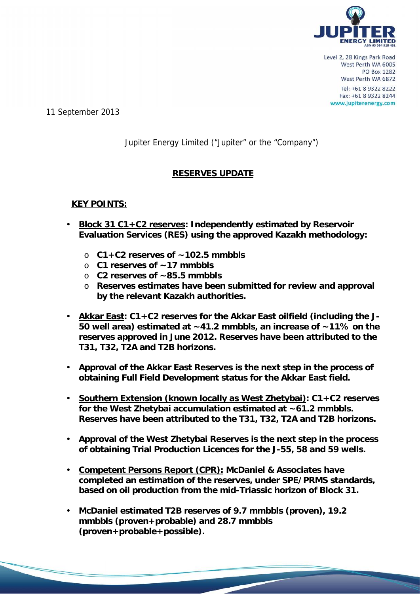

11 September 2013

# Jupiter Energy Limited ("Jupiter" or the "Company")

# **RESERVES UPDATE**

# **KEY POINTS:**

- **Block 31 C1+C2 reserves: Independently estimated by Reservoir Evaluation Services (RES) using the approved Kazakh methodology:**
	- o **C1+C2 reserves of ~102.5 mmbbls**
	- o **C1 reserves of ~17 mmbbls**
	- o **C2 reserves of ~85.5 mmbbls**
	- o **Reserves estimates have been submitted for review and approval by the relevant Kazakh authorities.**
- **Akkar East: C1+C2 reserves for the Akkar East oilfield (including the J- 50 well area) estimated at ~41.2 mmbbls, an increase of ~11% on the reserves approved in June 2012. Reserves have been attributed to the T31, T32, T2A and T2B horizons.**
- **Approval of the Akkar East Reserves is the next step in the process of obtaining Full Field Development status for the Akkar East field.**
- **Southern Extension (known locally as West Zhetybai): C1+C2 reserves for the West Zhetybai accumulation estimated at ~61.2 mmbbls. Reserves have been attributed to the T31, T32, T2A and T2B horizons.**
- **Approval of the West Zhetybai Reserves is the next step in the process of obtaining Trial Production Licences for the J-55, 58 and 59 wells.**
- **Competent Persons Report (CPR): McDaniel & Associates have completed an estimation of the reserves, under SPE/PRMS standards, based on oil production from the mid-Triassic horizon of Block 31.**
- **McDaniel estimated T2B reserves of 9.7 mmbbls (proven), 19.2 mmbbls (proven+probable) and 28.7 mmbbls (proven+probable+possible).**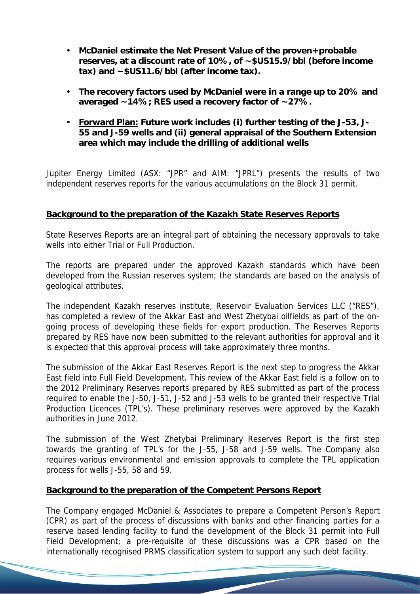- **McDaniel estimate the Net Present Value of the proven+probable reserves, at a discount rate of 10%, of ~\$US15.9/bbl (before income tax) and ~\$US11.6/bbl (after income tax).**
- **The recovery factors used by McDaniel were in a range up to 20% and averaged ~14%; RES used a recovery factor of ~27%.**
- **Forward Plan: Future work includes (i) further testing of the J-53, J- 55 and J-59 wells and (ii) general appraisal of the Southern Extension area which may include the drilling of additional wells**

Jupiter Energy Limited (ASX: "JPR" and AIM: "JPRL") presents the results of two independent reserves reports for the various accumulations on the Block 31 permit.

## **Background to the preparation of the Kazakh State Reserves Reports**

State Reserves Reports are an integral part of obtaining the necessary approvals to take wells into either Trial or Full Production.

The reports are prepared under the approved Kazakh standards which have been developed from the Russian reserves system; the standards are based on the analysis of geological attributes.

The independent Kazakh reserves institute, Reservoir Evaluation Services LLC ("RES"), has completed a review of the Akkar East and West Zhetybai oilfields as part of the on going process of developing these fields for export production. The Reserves Reports prepared by RES have now been submitted to the relevant authorities for approval and it is expected that this approval process will take approximately three months.

The submission of the Akkar East Reserves Report is the next step to progress the Akkar East field into Full Field Development. This review of the Akkar East field is a follow on to the 2012 Preliminary Reserves reports prepared by RES submitted as part of the process required to enable the J-50, J-51, J-52 and J-53 wells to be granted their respective Trial Production Licences (TPL's). These preliminary reserves were approved by the Kazakh authorities in June 2012.

The submission of the West Zhetybai Preliminary Reserves Report is the first step towards the granting of TPL's for the J-55, J-58 and J-59 wells. The Company also requires various environmental and emission approvals to complete the TPL application process for wells J-55, 58 and 59.

# **Background to the preparation of the Competent Persons Report**

The Company engaged McDaniel & Associates to prepare a Competent Person's Report (CPR) as part of the process of discussions with banks and other financing parties for a reserve based lending facility to fund the development of the Block 31 permit into Full Field Development; a pre-requisite of these discussions was a CPR based on the internationally recognised PRMS classification system to support any such debt facility.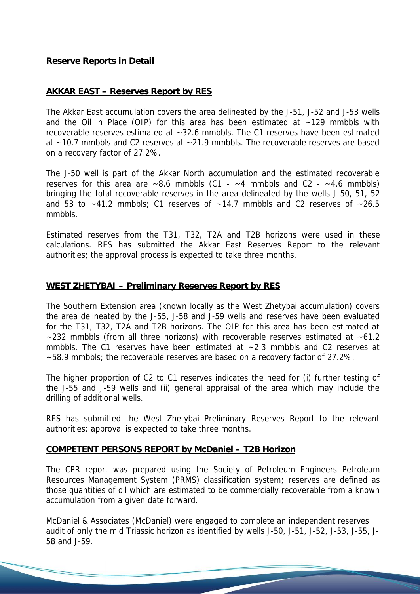### **Reserve Reports in Detail**

#### *AKKAR EAST – Reserves Report by RES*

The Akkar East accumulation covers the area delineated by the J-51, J-52 and J-53 wells and the Oil in Place (OIP) for this area has been estimated at  $~129$  mmbbls with recoverable reserves estimated at ~32.6 mmbbls. The C1 reserves have been estimated at  $\approx$  10.7 mmbbls and C2 reserves at  $\approx$  21.9 mmbbls. The recoverable reserves are based on a recovery factor of 27.2%.

The J-50 well is part of the Akkar North accumulation and the estimated recoverable reserves for this area are  $\sim 8.6$  mmbbls (C1 -  $\sim 4$  mmbbls and C2 -  $\sim 4.6$  mmbbls) bringing the total recoverable reserves in the area delineated by the wells J-50, 51, 52 and 53 to  $\sim$ 41.2 mmbbls; C1 reserves of  $\sim$ 14.7 mmbbls and C2 reserves of  $\sim$ 26.5 mmbbls.

Estimated reserves from the T31, T32, T2A and T2B horizons were used in these calculations. RES has submitted the Akkar East Reserves Report to the relevant authorities; the approval process is expected to take three months.

#### *WEST ZHETYBAI – Preliminary Reserves Report by RES*

The Southern Extension area (known locally as the West Zhetybai accumulation) covers the area delineated by the J-55, J-58 and J-59 wells and reserves have been evaluated for the T31, T32, T2A and T2B horizons. The OIP for this area has been estimated at  $\sim$  232 mmbbls (from all three horizons) with recoverable reserves estimated at  $\sim$  61.2 mmbbls. The C1 reserves have been estimated at  $\sim$  2.3 mmbbls and C2 reserves at ~58.9 mmbbls; the recoverable reserves are based on a recovery factor of 27.2%.

The higher proportion of C2 to C1 reserves indicates the need for (i) further testing of the J-55 and J-59 wells and (ii) general appraisal of the area which may include the drilling of additional wells.

RES has submitted the West Zhetybai Preliminary Reserves Report to the relevant authorities; approval is expected to take three months.

### *COMPETENT PERSONS REPORT by McDaniel – T2B Horizon*

The CPR report was prepared using the Society of Petroleum Engineers Petroleum Resources Management System (PRMS) classification system; reserves are defined as those quantities of oil which are estimated to be commercially recoverable from a known accumulation from a given date forward.

McDaniel & Associates (McDaniel) were engaged to complete an independent reserves audit of only the mid Triassic horizon as identified by wells J-50, J-51, J-52, J-53, J-55, J- 58 and J-59.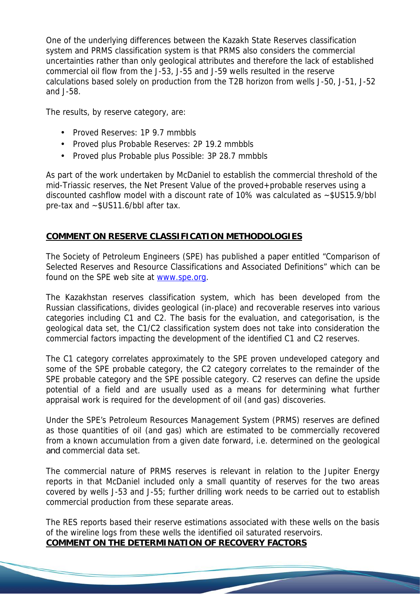One of the underlying differences between the Kazakh State Reserves classification system and PRMS classification system is that PRMS also considers the commercial uncertainties rather than only geological attributes and therefore the lack of established commercial oil flow from the J-53, J-55 and J-59 wells resulted in the reserve calculations based solely on production from the T2B horizon from wells J-50, J-51, J-52 and J-58.

The results, by reserve category, are:

- Proved Reserves: 1P 9.7 mmbbls
- Proved plus Probable Reserves: 2P 19.2 mmbbls
- Proved plus Probable plus Possible: 3P 28.7 mmbbls

As part of the work undertaken by McDaniel to establish the commercial threshold of the mid-Triassic reserves, the Net Present Value of the proved+probable reserves using a discounted cashflow model with a discount rate of 10% was calculated as ~\$US15.9/bbl pre-tax and ~\$US11.6/bbl after tax.

# *COMMENT ON RESERVE CLASSIFICATION METHODOLOGIES*

The Society of Petroleum Engineers (SPE) has published a paper entitled "Comparison of Selected Reserves and Resource Classifications and Associated Definitions" which can be found on the SPE web site at www.spe.org.

The Kazakhstan reserves classification system, which has been developed from the Russian classifications, divides geological (in-place) and recoverable reserves into various categories including C1 and C2. The basis for the evaluation, and categorisation, is the geological data set, the C1/C2 classification system does not take into consideration the commercial factors impacting the development of the identified C1 and C2 reserves.

The C1 category correlates approximately to the SPE proven undeveloped category and some of the SPE probable category, the C2 category correlates to the remainder of the SPE probable category and the SPE possible category. C2 reserves can define the upside potential of a field and are usually used as a means for determining what further appraisal work is required for the development of oil (and gas) discoveries.

Under the SPE's Petroleum Resources Management System (PRMS) reserves are defined as those quantities of oil (and gas) which are estimated to be commercially recovered from a known accumulation from a given date forward, i.e. determined on the geological *and* commercial data set.

The commercial nature of PRMS reserves is relevant in relation to the Jupiter Energy reports in that McDaniel included only a small quantity of reserves for the two areas covered by wells J-53 and J-55; further drilling work needs to be carried out to establish commercial production from these separate areas.

The RES reports based their reserve estimations associated with these wells on the basis of the wireline logs from these wells the identified oil saturated reservoirs. *COMMENT ON THE DETERMINATION OF RECOVERY FACTORS*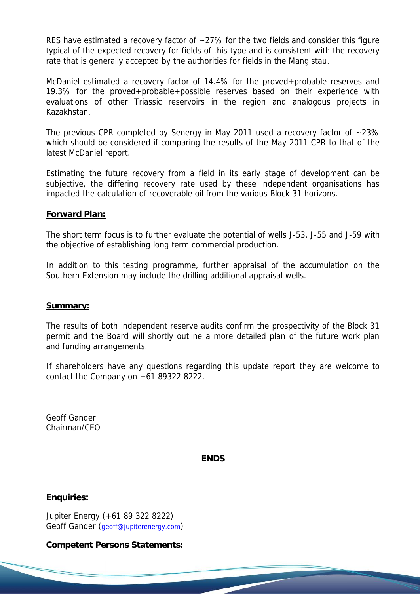RES have estimated a recovery factor of  $\sim$  27% for the two fields and consider this figure typical of the expected recovery for fields of this type and is consistent with the recovery rate that is generally accepted by the authorities for fields in the Mangistau.

McDaniel estimated a recovery factor of 14.4% for the proved+probable reserves and 19.3% for the proved+probable+possible reserves based on their experience with evaluations of other Triassic reservoirs in the region and analogous projects in Kazakhstan.

The previous CPR completed by Senergy in May 2011 used a recovery factor of ~23% which should be considered if comparing the results of the May 2011 CPR to that of the latest McDaniel report.

Estimating the future recovery from a field in its early stage of development can be subjective, the differing recovery rate used by these independent organisations has impacted the calculation of recoverable oil from the various Block 31 horizons.

#### **Forward Plan:**

The short term focus is to further evaluate the potential of wells J-53, J-55 and J-59 with the objective of establishing long term commercial production.

In addition to this testing programme, further appraisal of the accumulation on the Southern Extension may include the drilling additional appraisal wells.

#### **Summary:**

The results of both independent reserve audits confirm the prospectivity of the Block 31 permit and the Board will shortly outline a more detailed plan of the future work plan and funding arrangements.

If shareholders have any questions regarding this update report they are welcome to contact the Company on +61 89322 8222.

Geoff Gander Chairman/CEO

**ENDS**

**Enquiries:**

Jupiter Energy (+61 89 322 8222) Geoff Gander (geoff@jupiterenergy.com)

**Competent Persons Statements:**